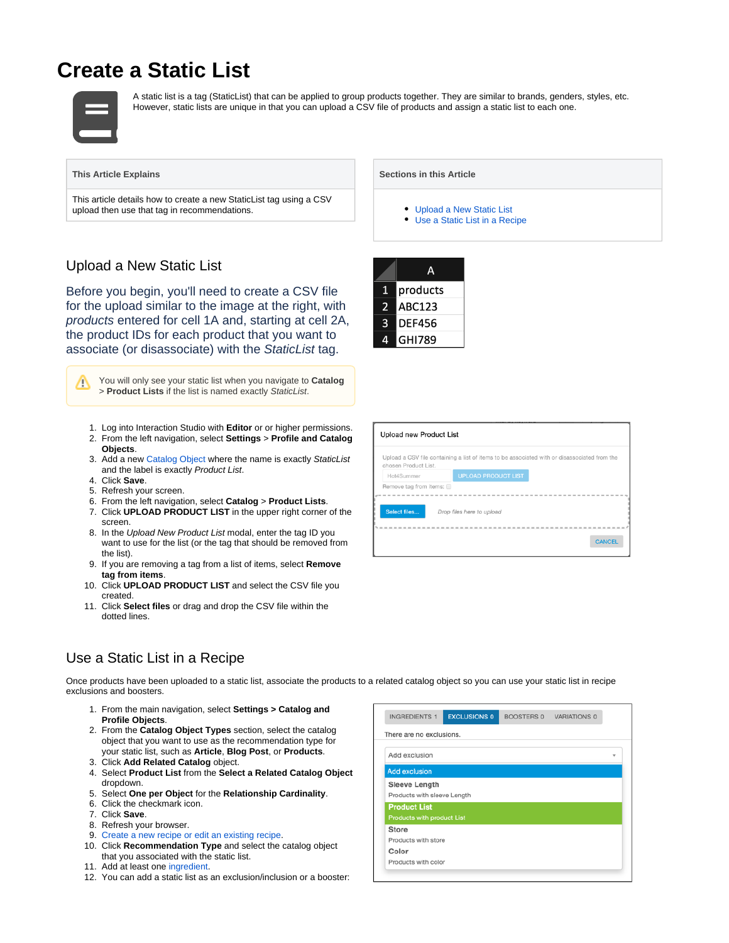# **Create a Static List**



A static list is a tag (StaticList) that can be applied to group products together. They are similar to brands, genders, styles, etc. However, static lists are unique in that you can upload a CSV file of products and assign a static list to each one.

### **This Article Explains**

This article details how to create a new StaticList tag using a CSV upload then use that tag in recommendations.

## <span id="page-0-0"></span>Upload a New Static List

Before you begin, you'll need to create a CSV file for the upload similar to the image at the right, with products entered for cell 1A and, starting at cell 2A, the product IDs for each product that you want to associate (or disassociate) with the StaticList tag.

You will only see your static list when you navigate to **Catalog** /\ > **Product Lists** if the list is named exactly StaticList.

- 1. Log into Interaction Studio with **Editor** or or higher permissions.
- 2. From the left navigation, select **Settings** > **Profile and Catalog Objects**.
- 3. Add a new [Catalog Object](https://doc.evergage.com/display/EKB/Catalog+Object+Setup) where the name is exactly StaticList and the label is exactly Product List.
- 4. Click **Save**.
- 5. Refresh your screen.
- 6. From the left navigation, select **Catalog** > **Product Lists**.
- 7. Click **UPLOAD PRODUCT LIST** in the upper right corner of the screen.
- 8. In the Upload New Product List modal, enter the tag ID you want to use for the list (or the tag that should be removed from the list).
- 9. If you are removing a tag from a list of items, select **Remove tag from items**.
- 10. Click **UPLOAD PRODUCT LIST** and select the CSV file you created.
- 11. Click **Select files** or drag and drop the CSV file within the dotted lines.

#### **Sections in this Article**

- [Upload a New Static List](#page-0-0)
- [Use a Static List in a Recipe](#page-0-1)

|   | Д             |
|---|---------------|
| 1 | products      |
| 2 | <b>ABC123</b> |
| 3 | <b>DEF456</b> |
|   | <b>GHI789</b> |

| Upload new Product List |                                                                                              |  |  |
|-------------------------|----------------------------------------------------------------------------------------------|--|--|
| chosen Product List.    | Upload a CSV file containing a list of items to be associated with or disassociated from the |  |  |
| Hot4Summer              | <b>UPLOAD PRODUCT LIST</b>                                                                   |  |  |
| Remove tag from items:  |                                                                                              |  |  |
|                         |                                                                                              |  |  |
| Select files            | Drop files here to upload                                                                    |  |  |
|                         |                                                                                              |  |  |
|                         | <b>CANCEL</b>                                                                                |  |  |

## <span id="page-0-1"></span>Use a Static List in a Recipe

Once products have been uploaded to a static list, associate the products to a related catalog object so you can use your static list in recipe exclusions and boosters.

- 1. From the main navigation, select **Settings > Catalog and Profile Objects**.
- 2. From the **Catalog Object Types** section, select the catalog object that you want to use as the recommendation type for your static list, such as **Article**, **Blog Post**, or **Products**.
- 3. Click **Add Related Catalog** object.
- 4. Select **Product List** from the **Select a Related Catalog Object** dropdown.
- 5. Select **One per Object** for the **Relationship Cardinality**.
- 6. Click the checkmark icon.
- 7. Click **Save**.
- 8. Refresh your browser.
- 9. [Create a new recipe or edit an](https://doc.evergage.com/display/EKB/Create%2C+Edit%2C+or+Delete+an+Einstein+Recipe) [existing recipe](https://doc.evergage.com/display/EKB/Recommendations).
- 10. Click **Recommendation Type** and select the catalog object that you associated with the static list.
- 11. Add at least one [ingredient.](https://doc.evergage.com/display/EKB/Add+Ingredients+to+an+Einstein+Recipe)
- 12. You can add a static list as an exclusion/inclusion or a booster: